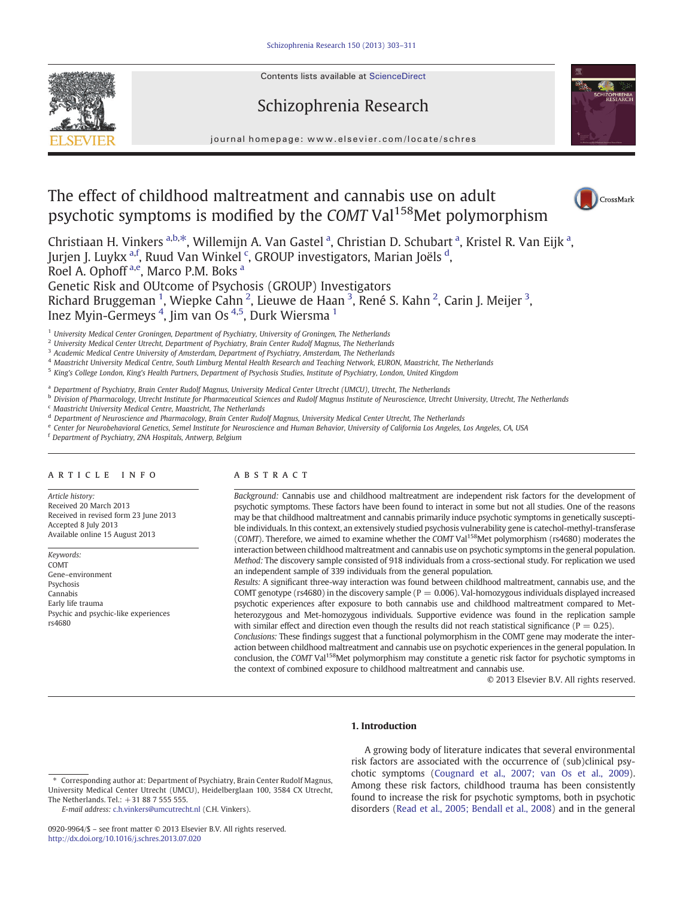Contents lists available at ScienceDirect







 $CroseMark$ 

journal homepage: www.elsevier.com/locate/schres

# The effect of childhood maltreatment and cannabis use on adult psychotic symptoms is modified by the COMT Val<sup>158</sup>Met polymorphism

Christiaan H. Vinkers <sup>a,b,\*</sup>, Willemijn A. Van Gastel <sup>a</sup>, Christian D. Schubart <sup>a</sup>, Kristel R. Van Eijk <sup>a</sup>, Jurjen J. Luykx <sup>a,f</sup>, Ruud Van Winkel <sup>c</sup>, GROUP investigators, Marian Joëls <sup>d</sup>, Roel A. Ophoff<sup>a,e</sup>, Marco P.M. Boks<sup>a</sup> Genetic Risk and OUtcome of Psychosis (GROUP) Investigators

Richard Bruggeman <sup>1</sup>, Wiepke Cahn <sup>2</sup>, Lieuwe de Haan <sup>3</sup>, René S. Kahn <sup>2</sup>, Carin J. Meijer <sup>3</sup>, Inez Myin-Germeys <sup>4</sup>, Jim van Os <sup>4,5</sup>, Durk Wiersma <sup>1</sup>

<sup>1</sup> University Medical Center Groningen, Department of Psychiatry, University of Groningen, The Netherlands

<sup>2</sup> University Medical Center Utrecht, Department of Psychiatry, Brain Center Rudolf Magnus, The Netherlands

<sup>3</sup> Academic Medical Centre University of Amsterdam, Department of Psychiatry, Amsterdam, The Netherlands

<sup>4</sup> Maastricht University Medical Centre, South Limburg Mental Health Research and Teaching Network, EURON, Maastricht, The Netherlands

<sup>5</sup> King's College London, King's Health Partners, Department of Psychosis Studies, Institute of Psychiatry, London, United Kingdom

a Department of Psychiatry, Brain Center Rudolf Magnus, University Medical Center Utrecht (UMCU), Utrecht, The Netherlands

**b Division of Pharmacology, Utrecht Institute for Pharmaceutical Sciences and Rudolf Magnus Institute of Neuroscience, Utrecht University, Utrecht, The Netherlands** 

<sup>c</sup> Maastricht University Medical Centre, Maastricht, The Netherlands

<sup>d</sup> Department of Neuroscience and Pharmacology, Brain Center Rudolf Magnus, University Medical Center Utrecht, The Netherlands

e Center for Neurobehavioral Genetics, Semel Institute for Neuroscience and Human Behavior, University of California Los Angeles, Los Angeles, CA, USA

<sup>f</sup> Department of Psychiatry, ZNA Hospitals, Antwerp, Belgium

# article info abstract

Article history: Received 20 March 2013 Received in revised form 23 June 2013 Accepted 8 July 2013 Available online 15 August 2013

Keywords: COMT Gene–environment Psychosis Cannabis Early life trauma Psychic and psychic-like experiences rs4680

Background: Cannabis use and childhood maltreatment are independent risk factors for the development of psychotic symptoms. These factors have been found to interact in some but not all studies. One of the reasons may be that childhood maltreatment and cannabis primarily induce psychotic symptoms in genetically susceptible individuals. In this context, an extensively studied psychosis vulnerability gene is catechol-methyl-transferase (COMT). Therefore, we aimed to examine whether the COMT Val<sup>158</sup>Met polymorphism (rs4680) moderates the interaction between childhood maltreatment and cannabis use on psychotic symptoms in the general population. Method: The discovery sample consisted of 918 individuals from a cross-sectional study. For replication we used an independent sample of 339 individuals from the general population.

Results: A significant three-way interaction was found between childhood maltreatment, cannabis use, and the COMT genotype (rs4680) in the discovery sample ( $P = 0.006$ ). Val-homozygous individuals displayed increased psychotic experiences after exposure to both cannabis use and childhood maltreatment compared to Metheterozygous and Met-homozygous individuals. Supportive evidence was found in the replication sample with similar effect and direction even though the results did not reach statistical significance ( $P = 0.25$ ).

Conclusions: These findings suggest that a functional polymorphism in the COMT gene may moderate the interaction between childhood maltreatment and cannabis use on psychotic experiences in the general population. In conclusion, the COMT Val<sup>158</sup>Met polymorphism may constitute a genetic risk factor for psychotic symptoms in the context of combined exposure to childhood maltreatment and cannabis use.

© 2013 Elsevier B.V. All rights reserved.

# 1. Introduction

E-mail address: [c.h.vinkers@umcutrecht.nl](mailto:c.h.vinkers@umcutrecht.nl) (C.H. Vinkers).

A growing body of literature indicates that several environmental risk factors are associated with the occurrence of (sub)clinical psychotic symptoms [\(Cougnard et al., 2007; van Os et al., 2009](#page--1-0)). Among these risk factors, childhood trauma has been consistently found to increase the risk for psychotic symptoms, both in psychotic disorders ([Read et al., 2005; Bendall et al., 2008\)](#page--1-0) and in the general

<sup>⁎</sup> Corresponding author at: Department of Psychiatry, Brain Center Rudolf Magnus, University Medical Center Utrecht (UMCU), Heidelberglaan 100, 3584 CX Utrecht, The Netherlands. Tel.: +31 88 7 555 555.

<sup>0920-9964/\$</sup> – see front matter © 2013 Elsevier B.V. All rights reserved. <http://dx.doi.org/10.1016/j.schres.2013.07.020>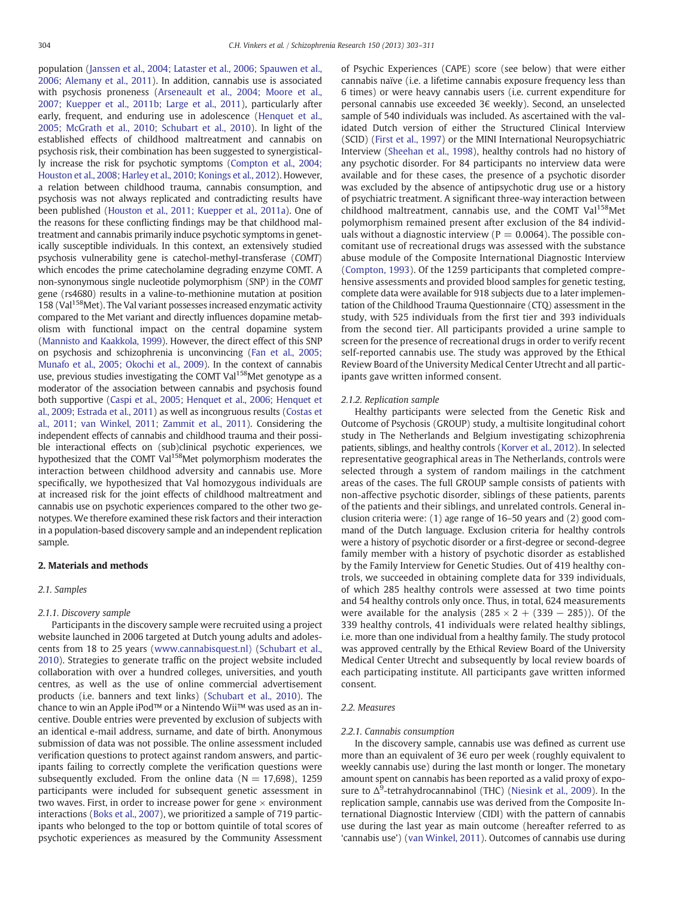population [\(Janssen et al., 2004; Lataster et al., 2006; Spauwen et al.,](#page--1-0) [2006; Alemany et al., 2011](#page--1-0)). In addition, cannabis use is associated with psychosis proneness ([Arseneault et al., 2004; Moore et al.,](#page--1-0) [2007; Kuepper et al., 2011b; Large et al., 2011](#page--1-0)), particularly after early, frequent, and enduring use in adolescence [\(Henquet et al.,](#page--1-0) [2005; McGrath et al., 2010; Schubart et al., 2010\)](#page--1-0). In light of the established effects of childhood maltreatment and cannabis on psychosis risk, their combination has been suggested to synergistically increase the risk for psychotic symptoms [\(Compton et al., 2004;](#page--1-0) [Houston et al., 2008; Harley et al., 2010; Konings et al., 2012\)](#page--1-0). However, a relation between childhood trauma, cannabis consumption, and psychosis was not always replicated and contradicting results have been published ([Houston et al., 2011; Kuepper et al., 2011a](#page--1-0)). One of the reasons for these conflicting findings may be that childhood maltreatment and cannabis primarily induce psychotic symptoms in genetically susceptible individuals. In this context, an extensively studied psychosis vulnerability gene is catechol-methyl-transferase (COMT) which encodes the prime catecholamine degrading enzyme COMT. A non-synonymous single nucleotide polymorphism (SNP) in the COMT gene (rs4680) results in a valine-to-methionine mutation at position 158 (Val<sup>158</sup>Met). The Val variant possesses increased enzymatic activity compared to the Met variant and directly influences dopamine metabolism with functional impact on the central dopamine system [\(Mannisto and Kaakkola, 1999\)](#page--1-0). However, the direct effect of this SNP on psychosis and schizophrenia is unconvincing [\(Fan et al., 2005;](#page--1-0) [Munafo et al., 2005; Okochi et al., 2009](#page--1-0)). In the context of cannabis use, previous studies investigating the COMT Val<sup>158</sup>Met genotype as a moderator of the association between cannabis and psychosis found both supportive ([Caspi et al., 2005; Henquet et al., 2006; Henquet et](#page--1-0) [al., 2009; Estrada et al., 2011](#page--1-0)) as well as incongruous results [\(Costas et](#page--1-0) [al., 2011; van Winkel, 2011; Zammit et al., 2011\)](#page--1-0). Considering the independent effects of cannabis and childhood trauma and their possible interactional effects on (sub)clinical psychotic experiences, we hypothesized that the COMT Val<sup>158</sup>Met polymorphism moderates the interaction between childhood adversity and cannabis use. More specifically, we hypothesized that Val homozygous individuals are at increased risk for the joint effects of childhood maltreatment and cannabis use on psychotic experiences compared to the other two genotypes. We therefore examined these risk factors and their interaction in a population-based discovery sample and an independent replication sample.

# 2. Materials and methods

# 2.1. Samples

#### 2.1.1. Discovery sample

Participants in the discovery sample were recruited using a project website launched in 2006 targeted at Dutch young adults and adolescents from 18 to 25 years ([www.cannabisquest.nl\)](http://www.cannabisquest.nl)) [\(Schubart et al.,](#page--1-0) [2010\)](#page--1-0). Strategies to generate traffic on the project website included collaboration with over a hundred colleges, universities, and youth centres, as well as the use of online commercial advertisement products (i.e. banners and text links) ([Schubart et al., 2010](#page--1-0)). The chance to win an Apple iPod™ or a Nintendo Wii™ was used as an incentive. Double entries were prevented by exclusion of subjects with an identical e-mail address, surname, and date of birth. Anonymous submission of data was not possible. The online assessment included verification questions to protect against random answers, and participants failing to correctly complete the verification questions were subsequently excluded. From the online data ( $N = 17,698$ ), 1259 participants were included for subsequent genetic assessment in two waves. First, in order to increase power for gene  $\times$  environment interactions [\(Boks et al., 2007](#page--1-0)), we prioritized a sample of 719 participants who belonged to the top or bottom quintile of total scores of psychotic experiences as measured by the Community Assessment

of Psychic Experiences (CAPE) score (see below) that were either cannabis naïve (i.e. a lifetime cannabis exposure frequency less than 6 times) or were heavy cannabis users (i.e. current expenditure for personal cannabis use exceeded 3€ weekly). Second, an unselected sample of 540 individuals was included. As ascertained with the validated Dutch version of either the Structured Clinical Interview (SCID) ([First et al., 1997](#page--1-0)) or the MINI International Neuropsychiatric Interview [\(Sheehan et al., 1998](#page--1-0)), healthy controls had no history of any psychotic disorder. For 84 participants no interview data were available and for these cases, the presence of a psychotic disorder was excluded by the absence of antipsychotic drug use or a history of psychiatric treatment. A significant three-way interaction between childhood maltreatment, cannabis use, and the COMT Val<sup>158</sup>Met polymorphism remained present after exclusion of the 84 individuals without a diagnostic interview ( $P = 0.0064$ ). The possible concomitant use of recreational drugs was assessed with the substance abuse module of the Composite International Diagnostic Interview [\(Compton, 1993](#page--1-0)). Of the 1259 participants that completed comprehensive assessments and provided blood samples for genetic testing, complete data were available for 918 subjects due to a later implementation of the Childhood Trauma Questionnaire (CTQ) assessment in the study, with 525 individuals from the first tier and 393 individuals from the second tier. All participants provided a urine sample to screen for the presence of recreational drugs in order to verify recent self-reported cannabis use. The study was approved by the Ethical Review Board of the University Medical Center Utrecht and all participants gave written informed consent.

### 2.1.2. Replication sample

Healthy participants were selected from the Genetic Risk and Outcome of Psychosis (GROUP) study, a multisite longitudinal cohort study in The Netherlands and Belgium investigating schizophrenia patients, siblings, and healthy controls [\(Korver et al., 2012\)](#page--1-0). In selected representative geographical areas in The Netherlands, controls were selected through a system of random mailings in the catchment areas of the cases. The full GROUP sample consists of patients with non-affective psychotic disorder, siblings of these patients, parents of the patients and their siblings, and unrelated controls. General inclusion criteria were: (1) age range of 16–50 years and (2) good command of the Dutch language. Exclusion criteria for healthy controls were a history of psychotic disorder or a first-degree or second-degree family member with a history of psychotic disorder as established by the Family Interview for Genetic Studies. Out of 419 healthy controls, we succeeded in obtaining complete data for 339 individuals, of which 285 healthy controls were assessed at two time points and 54 healthy controls only once. Thus, in total, 624 measurements were available for the analysis  $(285 \times 2 + (339 - 285))$ . Of the 339 healthy controls, 41 individuals were related healthy siblings, i.e. more than one individual from a healthy family. The study protocol was approved centrally by the Ethical Review Board of the University Medical Center Utrecht and subsequently by local review boards of each participating institute. All participants gave written informed consent.

#### 2.2. Measures

### 2.2.1. Cannabis consumption

In the discovery sample, cannabis use was defined as current use more than an equivalent of 3€ euro per week (roughly equivalent to weekly cannabis use) during the last month or longer. The monetary amount spent on cannabis has been reported as a valid proxy of exposure to  $\Delta^9$ -tetrahydrocannabinol (THC) [\(Niesink et al., 2009\)](#page--1-0). In the replication sample, cannabis use was derived from the Composite International Diagnostic Interview (CIDI) with the pattern of cannabis use during the last year as main outcome (hereafter referred to as 'cannabis use') ([van Winkel, 2011\)](#page--1-0). Outcomes of cannabis use during